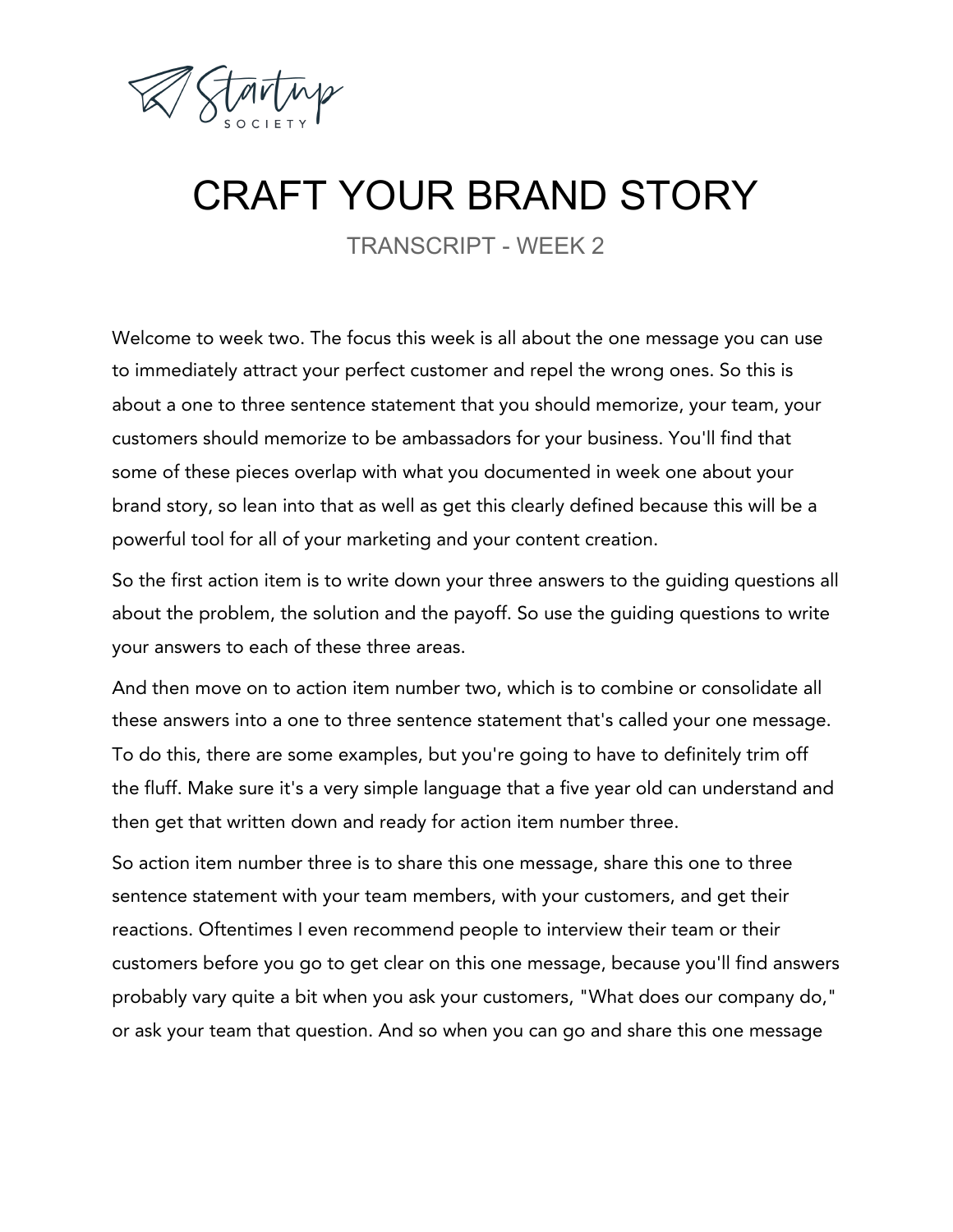

## CRAFT YOUR BRAND STORY

TRANSCRIPT - WEEK 2

Welcome to week two. The focus this week is all about the one message you can use to immediately attract your perfect customer and repel the wrong ones. So this is about a one to three sentence statement that you should memorize, your team, your customers should memorize to be ambassadors for your business. You'll find that some of these pieces overlap with what you documented in week one about your brand story, so lean into that as well as get this clearly defined because this will be a powerful tool for all of your marketing and your content creation.

So the first action item is to write down your three answers to the guiding questions all about the problem, the solution and the payoff. So use the guiding questions to write your answers to each of these three areas.

And then move on to action item number two, which is to combine or consolidate all these answers into a one to three sentence statement that's called your one message. To do this, there are some examples, but you're going to have to definitely trim off the fluff. Make sure it's a very simple language that a five year old can understand and then get that written down and ready for action item number three.

So action item number three is to share this one message, share this one to three sentence statement with your team members, with your customers, and get their reactions. Oftentimes I even recommend people to interview their team or their customers before you go to get clear on this one message, because you'll find answers probably vary quite a bit when you ask your customers, "What does our company do," or ask your team that question. And so when you can go and share this one message